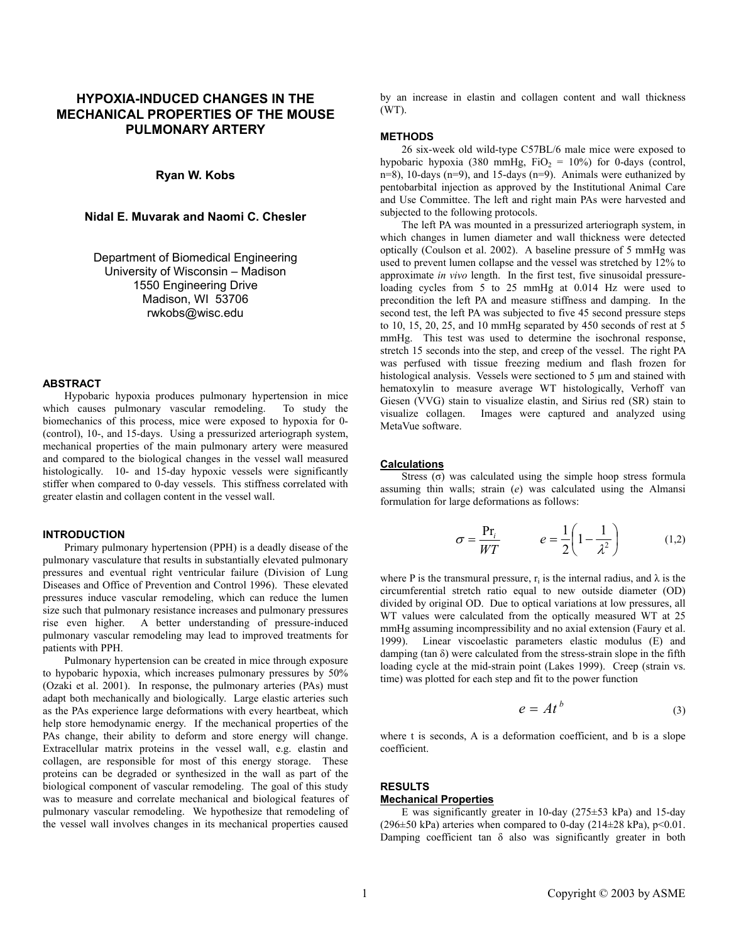# **HYPOXIA-INDUCED CHANGES IN THE MECHANICAL PROPERTIES OF THE MOUSE PULMONARY ARTERY**

# **Ryan W. Kobs**

## **Nidal E. Muvarak and Naomi C. Chesler**

Department of Biomedical Engineering University of Wisconsin – Madison 1550 Engineering Drive Madison, WI 53706 rwkobs@wisc.edu

#### **ABSTRACT**

Hypobaric hypoxia produces pulmonary hypertension in mice which causes pulmonary vascular remodeling. To study the biomechanics of this process, mice were exposed to hypoxia for 0- (control), 10-, and 15-days. Using a pressurized arteriograph system, mechanical properties of the main pulmonary artery were measured and compared to the biological changes in the vessel wall measured histologically. 10- and 15-day hypoxic vessels were significantly stiffer when compared to 0-day vessels. This stiffness correlated with greater elastin and collagen content in the vessel wall.

### **INTRODUCTION**

Primary pulmonary hypertension (PPH) is a deadly disease of the pulmonary vasculature that results in substantially elevated pulmonary pressures and eventual right ventricular failure (Division of Lung Diseases and Office of Prevention and Control 1996). These elevated pressures induce vascular remodeling, which can reduce the lumen size such that pulmonary resistance increases and pulmonary pressures rise even higher. A better understanding of pressure-induced pulmonary vascular remodeling may lead to improved treatments for patients with PPH.

Pulmonary hypertension can be created in mice through exposure to hypobaric hypoxia, which increases pulmonary pressures by 50% (Ozaki et al. 2001). In response, the pulmonary arteries (PAs) must adapt both mechanically and biologically. Large elastic arteries such as the PAs experience large deformations with every heartbeat, which help store hemodynamic energy. If the mechanical properties of the PAs change, their ability to deform and store energy will change. Extracellular matrix proteins in the vessel wall, e.g. elastin and collagen, are responsible for most of this energy storage. These proteins can be degraded or synthesized in the wall as part of the biological component of vascular remodeling. The goal of this study was to measure and correlate mechanical and biological features of pulmonary vascular remodeling. We hypothesize that remodeling of the vessel wall involves changes in its mechanical properties caused by an increase in elastin and collagen content and wall thickness (WT).

### **METHODS**

26 six-week old wild-type C57BL/6 male mice were exposed to hypobaric hypoxia (380 mmHg,  $FiO_2 = 10\%$ ) for 0-days (control,  $n=8$ ), 10-days ( $n=9$ ), and 15-days ( $n=9$ ). Animals were euthanized by pentobarbital injection as approved by the Institutional Animal Care and Use Committee. The left and right main PAs were harvested and subjected to the following protocols.

The left PA was mounted in a pressurized arteriograph system, in which changes in lumen diameter and wall thickness were detected optically (Coulson et al. 2002). A baseline pressure of 5 mmHg was used to prevent lumen collapse and the vessel was stretched by 12% to approximate *in vivo* length. In the first test, five sinusoidal pressureloading cycles from 5 to 25 mmHg at 0.014 Hz were used to precondition the left PA and measure stiffness and damping. In the second test, the left PA was subjected to five 45 second pressure steps to 10, 15, 20, 25, and 10 mmHg separated by 450 seconds of rest at 5 mmHg. This test was used to determine the isochronal response, stretch 15 seconds into the step, and creep of the vessel. The right PA was perfused with tissue freezing medium and flash frozen for histological analysis. Vessels were sectioned to 5  $\mu$ m and stained with hematoxylin to measure average WT histologically, Verhoff van Giesen (VVG) stain to visualize elastin, and Sirius red (SR) stain to visualize collagen. Images were captured and analyzed using MetaVue software.

## **Calculations**

Stress  $(σ)$  was calculated using the simple hoop stress formula assuming thin walls; strain (*e*) was calculated using the Almansi formulation for large deformations as follows:

$$
\sigma = \frac{\text{Pr}_i}{WT} \qquad \qquad e = \frac{1}{2} \left( 1 - \frac{1}{\lambda^2} \right) \qquad (1,2)
$$

where P is the transmural pressure,  $r_i$  is the internal radius, and  $\lambda$  is the circumferential stretch ratio equal to new outside diameter (OD) divided by original OD. Due to optical variations at low pressures, all WT values were calculated from the optically measured WT at 25 mmHg assuming incompressibility and no axial extension (Faury et al. 1999). Linear viscoelastic parameters elastic modulus (E) and damping (tan  $\delta$ ) were calculated from the stress-strain slope in the fifth loading cycle at the mid-strain point (Lakes 1999). Creep (strain vs. time) was plotted for each step and fit to the power function

$$
e = At^b \tag{3}
$$

where t is seconds. A is a deformation coefficient, and b is a slope coefficient.

# **RESULTS**

# **Mechanical Properties**

E was significantly greater in 10-day ( $275\pm53$  kPa) and 15-day (296 $\pm$ 50 kPa) arteries when compared to 0-day (214 $\pm$ 28 kPa), p<0.01. Damping coefficient tan δ also was significantly greater in both